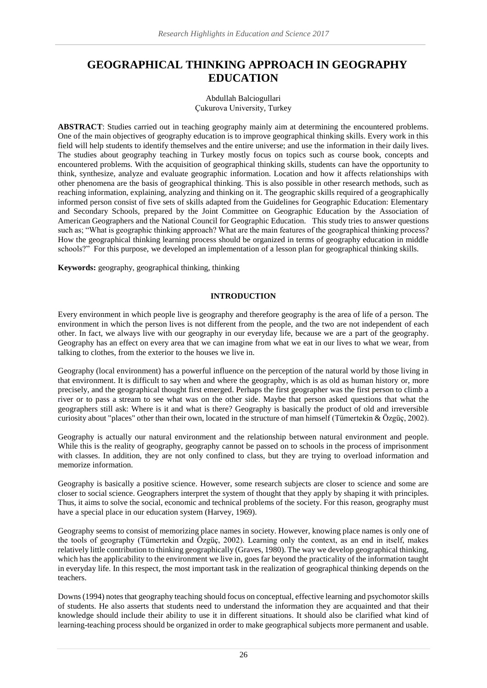# **GEOGRAPHICAL THINKING APPROACH IN GEOGRAPHY EDUCATION**

Abdullah Balciogullari Çukurova University, Turkey

**ABSTRACT**: Studies carried out in teaching geography mainly aim at determining the encountered problems. One of the main objectives of geography education is to improve geographical thinking skills. Every work in this field will help students to identify themselves and the entire universe; and use the information in their daily lives. The studies about geography teaching in Turkey mostly focus on topics such as course book, concepts and encountered problems. With the acquisition of geographical thinking skills, students can have the opportunity to think, synthesize, analyze and evaluate geographic information. Location and how it affects relationships with other phenomena are the basis of geographical thinking. This is also possible in other research methods, such as reaching information, explaining, analyzing and thinking on it. The geographic skills required of a geographically informed person consist of five sets of skills adapted from the Guidelines for Geographic Education: Elementary and Secondary Schools, prepared by the Joint Committee on Geographic Education by the Association of American Geographers and the National Council for Geographic Education. This study tries to answer questions such as; "What is geographic thinking approach? What are the main features of the geographical thinking process? How the geographical thinking learning process should be organized in terms of geography education in middle schools?" For this purpose, we developed an implementation of a lesson plan for geographical thinking skills.

**Keywords:** geography, geographical thinking, thinking

#### **INTRODUCTION**

Every environment in which people live is geography and therefore geography is the area of life of a person. The environment in which the person lives is not different from the people, and the two are not independent of each other. In fact, we always live with our geography in our everyday life, because we are a part of the geography. Geography has an effect on every area that we can imagine from what we eat in our lives to what we wear, from talking to clothes, from the exterior to the houses we live in.

Geography (local environment) has a powerful influence on the perception of the natural world by those living in that environment. It is difficult to say when and where the geography, which is as old as human history or, more precisely, and the geographical thought first emerged. Perhaps the first geographer was the first person to climb a river or to pass a stream to see what was on the other side. Maybe that person asked questions that what the geographers still ask: Where is it and what is there? Geography is basically the product of old and irreversible curiosity about "places" other than their own, located in the structure of man himself (Tümertekin & Özgüç, 2002).

Geography is actually our natural environment and the relationship between natural environment and people. While this is the reality of geography, geography cannot be passed on to schools in the process of imprisonment with classes. In addition, they are not only confined to class, but they are trying to overload information and memorize information.

Geography is basically a positive science. However, some research subjects are closer to science and some are closer to social science. Geographers interpret the system of thought that they apply by shaping it with principles. Thus, it aims to solve the social, economic and technical problems of the society. For this reason, geography must have a special place in our education system (Harvey, 1969).

Geography seems to consist of memorizing place names in society. However, knowing place names is only one of the tools of geography (Tümertekin and Özgüç, 2002). Learning only the context, as an end in itself, makes relatively little contribution to thinking geographically (Graves, 1980). The way we develop geographical thinking, which has the applicability to the environment we live in, goes far beyond the practicality of the information taught in everyday life. In this respect, the most important task in the realization of geographical thinking depends on the teachers.

Downs (1994) notes that geography teaching should focus on conceptual, effective learning and psychomotor skills of students. He also asserts that students need to understand the information they are acquainted and that their knowledge should include their ability to use it in different situations. It should also be clarified what kind of learning-teaching process should be organized in order to make geographical subjects more permanent and usable.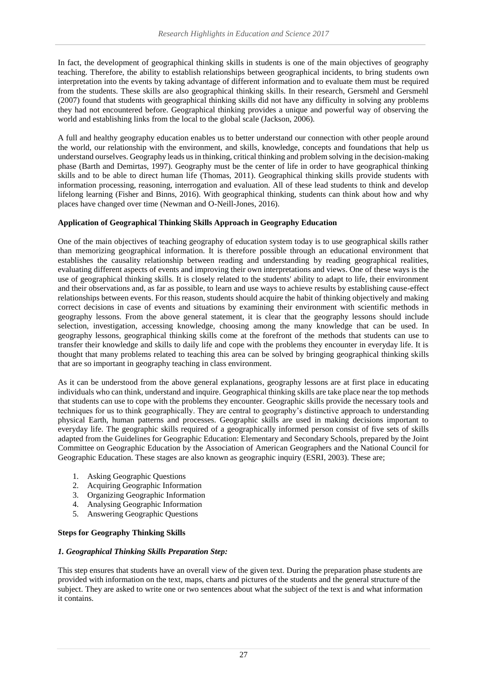In fact, the development of geographical thinking skills in students is one of the main objectives of geography teaching. Therefore, the ability to establish relationships between geographical incidents, to bring students own interpretation into the events by taking advantage of different information and to evaluate them must be required from the students. These skills are also geographical thinking skills. In their research, Gersmehl and Gersmehl (2007) found that students with geographical thinking skills did not have any difficulty in solving any problems they had not encountered before. Geographical thinking provides a unique and powerful way of observing the world and establishing links from the local to the global scale (Jackson, 2006).

A full and healthy geography education enables us to better understand our connection with other people around the world, our relationship with the environment, and skills, knowledge, concepts and foundations that help us understand ourselves. Geography leads us in thinking, critical thinking and problem solving in the decision-making phase (Barth and Demirtas, 1997). Geography must be the center of life in order to have geographical thinking skills and to be able to direct human life (Thomas, 2011). Geographical thinking skills provide students with information processing, reasoning, interrogation and evaluation. All of these lead students to think and develop lifelong learning (Fisher and Binns, 2016). With geographical thinking, students can think about how and why places have changed over time (Newman and O-Neill-Jones, 2016).

## **Application of Geographical Thinking Skills Approach in Geography Education**

One of the main objectives of teaching geography of education system today is to use geographical skills rather than memorizing geographical information. It is therefore possible through an educational environment that establishes the causality relationship between reading and understanding by reading geographical realities, evaluating different aspects of events and improving their own interpretations and views. One of these ways is the use of geographical thinking skills. It is closely related to the students' ability to adapt to life, their environment and their observations and, as far as possible, to learn and use ways to achieve results by establishing cause-effect relationships between events. For this reason, students should acquire the habit of thinking objectively and making correct decisions in case of events and situations by examining their environment with scientific methods in geography lessons. From the above general statement, it is clear that the geography lessons should include selection, investigation, accessing knowledge, choosing among the many knowledge that can be used. In geography lessons, geographical thinking skills come at the forefront of the methods that students can use to transfer their knowledge and skills to daily life and cope with the problems they encounter in everyday life. It is thought that many problems related to teaching this area can be solved by bringing geographical thinking skills that are so important in geography teaching in class environment.

As it can be understood from the above general explanations, geography lessons are at first place in educating individuals who can think, understand and inquire. Geographical thinking skills are take place near the top methods that students can use to cope with the problems they encounter. Geographic skills provide the necessary tools and techniques for us to think geographically. They are central to geography's distinctive approach to understanding physical Earth, human patterns and processes. Geographic skills are used in making decisions important to everyday life. The geographic skills required of a geographically informed person consist of five sets of skills adapted from the Guidelines for Geographic Education: Elementary and Secondary Schools, prepared by the Joint Committee on Geographic Education by the Association of American Geographers and the National Council for Geographic Education. These stages are also known as geographic inquiry (ESRI, 2003). These are;

- 1. Asking Geographic Questions
- 2. Acquiring Geographic Information
- 3. Organizing Geographic Information
- 4. Analysing Geographic Information
- 5. Answering Geographic Questions

## **Steps for Geography Thinking Skills**

#### *1. Geographical Thinking Skills Preparation Step:*

This step ensures that students have an overall view of the given text. During the preparation phase students are provided with information on the text, maps, charts and pictures of the students and the general structure of the subject. They are asked to write one or two sentences about what the subject of the text is and what information it contains.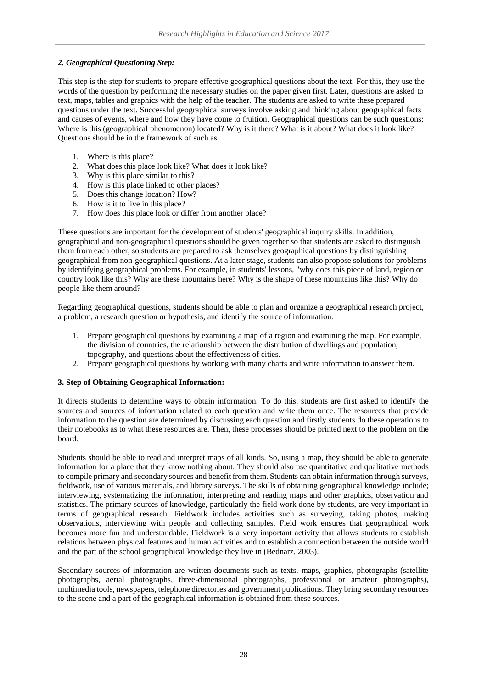### *2. Geographical Questioning Step:*

This step is the step for students to prepare effective geographical questions about the text. For this, they use the words of the question by performing the necessary studies on the paper given first. Later, questions are asked to text, maps, tables and graphics with the help of the teacher. The students are asked to write these prepared questions under the text. Successful geographical surveys involve asking and thinking about geographical facts and causes of events, where and how they have come to fruition. Geographical questions can be such questions; Where is this (geographical phenomenon) located? Why is it there? What is it about? What does it look like? Questions should be in the framework of such as.

- 1. Where is this place?
- 2. What does this place look like? What does it look like?
- 3. Why is this place similar to this?
- 4. How is this place linked to other places?
- 5. Does this change location? How?
- 6. How is it to live in this place?
- 7. How does this place look or differ from another place?

These questions are important for the development of students' geographical inquiry skills. In addition, geographical and non-geographical questions should be given together so that students are asked to distinguish them from each other, so students are prepared to ask themselves geographical questions by distinguishing geographical from non-geographical questions. At a later stage, students can also propose solutions for problems by identifying geographical problems. For example, in students' lessons, "why does this piece of land, region or country look like this? Why are these mountains here? Why is the shape of these mountains like this? Why do people like them around?

Regarding geographical questions, students should be able to plan and organize a geographical research project, a problem, a research question or hypothesis, and identify the source of information.

- 1. Prepare geographical questions by examining a map of a region and examining the map. For example, the division of countries, the relationship between the distribution of dwellings and population, topography, and questions about the effectiveness of cities.
- 2. Prepare geographical questions by working with many charts and write information to answer them.

#### **3. Step of Obtaining Geographical Information:**

It directs students to determine ways to obtain information. To do this, students are first asked to identify the sources and sources of information related to each question and write them once. The resources that provide information to the question are determined by discussing each question and firstly students do these operations to their notebooks as to what these resources are. Then, these processes should be printed next to the problem on the board.

Students should be able to read and interpret maps of all kinds. So, using a map, they should be able to generate information for a place that they know nothing about. They should also use quantitative and qualitative methods to compile primary and secondary sources and benefit from them. Students can obtain information through surveys, fieldwork, use of various materials, and library surveys. The skills of obtaining geographical knowledge include; interviewing, systematizing the information, interpreting and reading maps and other graphics, observation and statistics. The primary sources of knowledge, particularly the field work done by students, are very important in terms of geographical research. Fieldwork includes activities such as surveying, taking photos, making observations, interviewing with people and collecting samples. Field work ensures that geographical work becomes more fun and understandable. Fieldwork is a very important activity that allows students to establish relations between physical features and human activities and to establish a connection between the outside world and the part of the school geographical knowledge they live in (Bednarz, 2003).

Secondary sources of information are written documents such as texts, maps, graphics, photographs (satellite photographs, aerial photographs, three-dimensional photographs, professional or amateur photographs), multimedia tools, newspapers, telephone directories and government publications. They bring secondary resources to the scene and a part of the geographical information is obtained from these sources.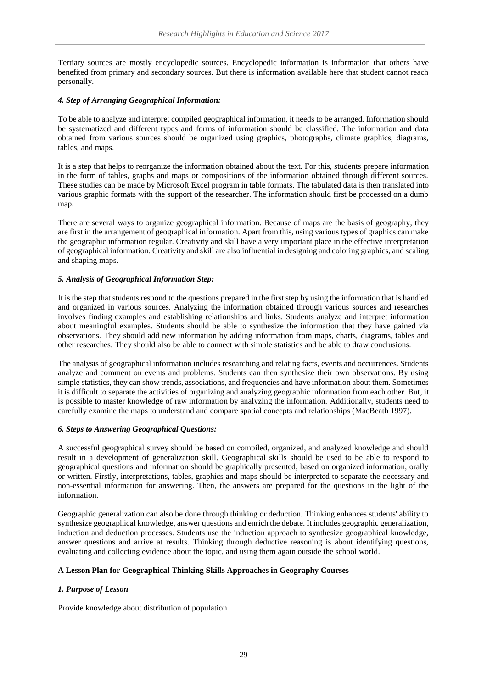Tertiary sources are mostly encyclopedic sources. Encyclopedic information is information that others have benefited from primary and secondary sources. But there is information available here that student cannot reach personally.

## *4. Step of Arranging Geographical Information:*

To be able to analyze and interpret compiled geographical information, it needs to be arranged. Information should be systematized and different types and forms of information should be classified. The information and data obtained from various sources should be organized using graphics, photographs, climate graphics, diagrams, tables, and maps.

It is a step that helps to reorganize the information obtained about the text. For this, students prepare information in the form of tables, graphs and maps or compositions of the information obtained through different sources. These studies can be made by Microsoft Excel program in table formats. The tabulated data is then translated into various graphic formats with the support of the researcher. The information should first be processed on a dumb map.

There are several ways to organize geographical information. Because of maps are the basis of geography, they are first in the arrangement of geographical information. Apart from this, using various types of graphics can make the geographic information regular. Creativity and skill have a very important place in the effective interpretation of geographical information. Creativity and skill are also influential in designing and coloring graphics, and scaling and shaping maps.

## *5. Analysis of Geographical Information Step:*

It is the step that students respond to the questions prepared in the first step by using the information that is handled and organized in various sources. Analyzing the information obtained through various sources and researches involves finding examples and establishing relationships and links. Students analyze and interpret information about meaningful examples. Students should be able to synthesize the information that they have gained via observations. They should add new information by adding information from maps, charts, diagrams, tables and other researches. They should also be able to connect with simple statistics and be able to draw conclusions.

The analysis of geographical information includes researching and relating facts, events and occurrences. Students analyze and comment on events and problems. Students can then synthesize their own observations. By using simple statistics, they can show trends, associations, and frequencies and have information about them. Sometimes it is difficult to separate the activities of organizing and analyzing geographic information from each other. But, it is possible to master knowledge of raw information by analyzing the information. Additionally, students need to carefully examine the maps to understand and compare spatial concepts and relationships (MacBeath 1997).

## *6. Steps to Answering Geographical Questions:*

A successful geographical survey should be based on compiled, organized, and analyzed knowledge and should result in a development of generalization skill. Geographical skills should be used to be able to respond to geographical questions and information should be graphically presented, based on organized information, orally or written. Firstly, interpretations, tables, graphics and maps should be interpreted to separate the necessary and non-essential information for answering. Then, the answers are prepared for the questions in the light of the information.

Geographic generalization can also be done through thinking or deduction. Thinking enhances students' ability to synthesize geographical knowledge, answer questions and enrich the debate. It includes geographic generalization, induction and deduction processes. Students use the induction approach to synthesize geographical knowledge, answer questions and arrive at results. Thinking through deductive reasoning is about identifying questions, evaluating and collecting evidence about the topic, and using them again outside the school world.

## **A Lesson Plan for Geographical Thinking Skills Approaches in Geography Courses**

# *1. Purpose of Lesson*

Provide knowledge about distribution of population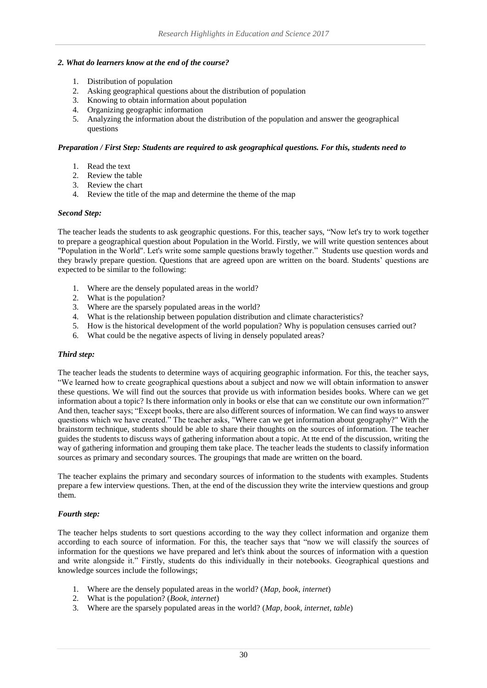#### *2. What do learners know at the end of the course?*

- 1. Distribution of population
- 2. Asking geographical questions about the distribution of population
- 3. Knowing to obtain information about population
- 4. Organizing geographic information
- 5. Analyzing the information about the distribution of the population and answer the geographical questions

#### *Preparation / First Step: Students are required to ask geographical questions. For this, students need to*

- 1. Read the text
- 2. Review the table
- 3. Review the chart
- 4. Review the title of the map and determine the theme of the map

#### *Second Step:*

The teacher leads the students to ask geographic questions. For this, teacher says, "Now let's try to work together to prepare a geographical question about Population in the World. Firstly, we will write question sentences about "Population in the World". Let's write some sample questions brawly together." Students use question words and they brawly prepare question. Questions that are agreed upon are written on the board. Students' questions are expected to be similar to the following:

- 1. Where are the densely populated areas in the world?
- 2. What is the population?
- 3. Where are the sparsely populated areas in the world?
- 4. What is the relationship between population distribution and climate characteristics?
- 5. How is the historical development of the world population? Why is population censuses carried out?
- 6. What could be the negative aspects of living in densely populated areas?

## *Third step:*

The teacher leads the students to determine ways of acquiring geographic information. For this, the teacher says, "We learned how to create geographical questions about a subject and now we will obtain information to answer these questions. We will find out the sources that provide us with information besides books. Where can we get information about a topic? Is there information only in books or else that can we constitute our own information?" And then, teacher says; "Except books, there are also different sources of information. We can find ways to answer questions which we have created." The teacher asks, "Where can we get information about geography?" With the brainstorm technique, students should be able to share their thoughts on the sources of information. The teacher guides the students to discuss ways of gathering information about a topic. At tte end of the discussion, writing the way of gathering information and grouping them take place. The teacher leads the students to classify information sources as primary and secondary sources. The groupings that made are written on the board.

The teacher explains the primary and secondary sources of information to the students with examples. Students prepare a few interview questions. Then, at the end of the discussion they write the interview questions and group them.

#### *Fourth step:*

The teacher helps students to sort questions according to the way they collect information and organize them according to each source of information. For this, the teacher says that "now we will classify the sources of information for the questions we have prepared and let's think about the sources of information with a question and write alongside it." Firstly, students do this individually in their notebooks. Geographical questions and knowledge sources include the followings;

- 1. Where are the densely populated areas in the world? (*Map, book, internet*)
- 2. What is the population? (*Book, internet*)
- 3. Where are the sparsely populated areas in the world? (*Map, book, internet, table*)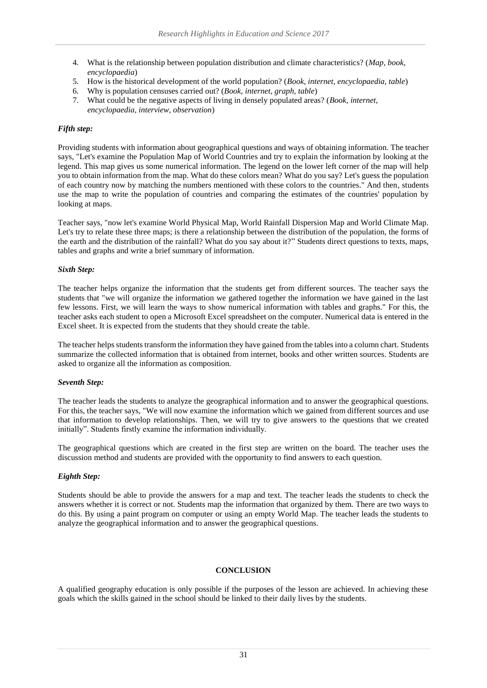- 4. What is the relationship between population distribution and climate characteristics? (*Map, book, encyclopaedia*)
- 5. How is the historical development of the world population? (*Book, internet, encyclopaedia, table*)
- 6. Why is population censuses carried out? (*Book, internet, graph, table*)
- 7. What could be the negative aspects of living in densely populated areas? (*Book, internet, encyclopaedia, interview, observation*)

## *Fifth step:*

Providing students with information about geographical questions and ways of obtaining information. The teacher says, "Let's examine the Population Map of World Countries and try to explain the information by looking at the legend. This map gives us some numerical information. The legend on the lower left corner of the map will help you to obtain information from the map. What do these colors mean? What do you say? Let's guess the population of each country now by matching the numbers mentioned with these colors to the countries." And then, students use the map to write the population of countries and comparing the estimates of the countries' population by looking at maps.

Teacher says, "now let's examine World Physical Map, World Rainfall Dispersion Map and World Climate Map. Let's try to relate these three maps; is there a relationship between the distribution of the population, the forms of the earth and the distribution of the rainfall? What do you say about it?" Students direct questions to texts, maps, tables and graphs and write a brief summary of information.

#### *Sixth Step:*

The teacher helps organize the information that the students get from different sources. The teacher says the students that "we will organize the information we gathered together the information we have gained in the last few lessons. First, we will learn the ways to show numerical information with tables and graphs." For this, the teacher asks each student to open a Microsoft Excel spreadsheet on the computer. Numerical data is entered in the Excel sheet. It is expected from the students that they should create the table.

The teacher helps students transform the information they have gained from the tables into a column chart. Students summarize the collected information that is obtained from internet, books and other written sources. Students are asked to organize all the information as composition.

#### *Seventh Step:*

The teacher leads the students to analyze the geographical information and to answer the geographical questions. For this, the teacher says, "We will now examine the information which we gained from different sources and use that information to develop relationships. Then, we will try to give answers to the questions that we created initially". Students firstly examine the information individually.

The geographical questions which are created in the first step are written on the board. The teacher uses the discussion method and students are provided with the opportunity to find answers to each question.

## *Eighth Step:*

Students should be able to provide the answers for a map and text. The teacher leads the students to check the answers whether it is correct or not. Students map the information that organized by them. There are two ways to do this. By using a paint program on computer or using an empty World Map. The teacher leads the students to analyze the geographical information and to answer the geographical questions.

#### **CONCLUSION**

A qualified geography education is only possible if the purposes of the lesson are achieved. In achieving these goals which the skills gained in the school should be linked to their daily lives by the students.